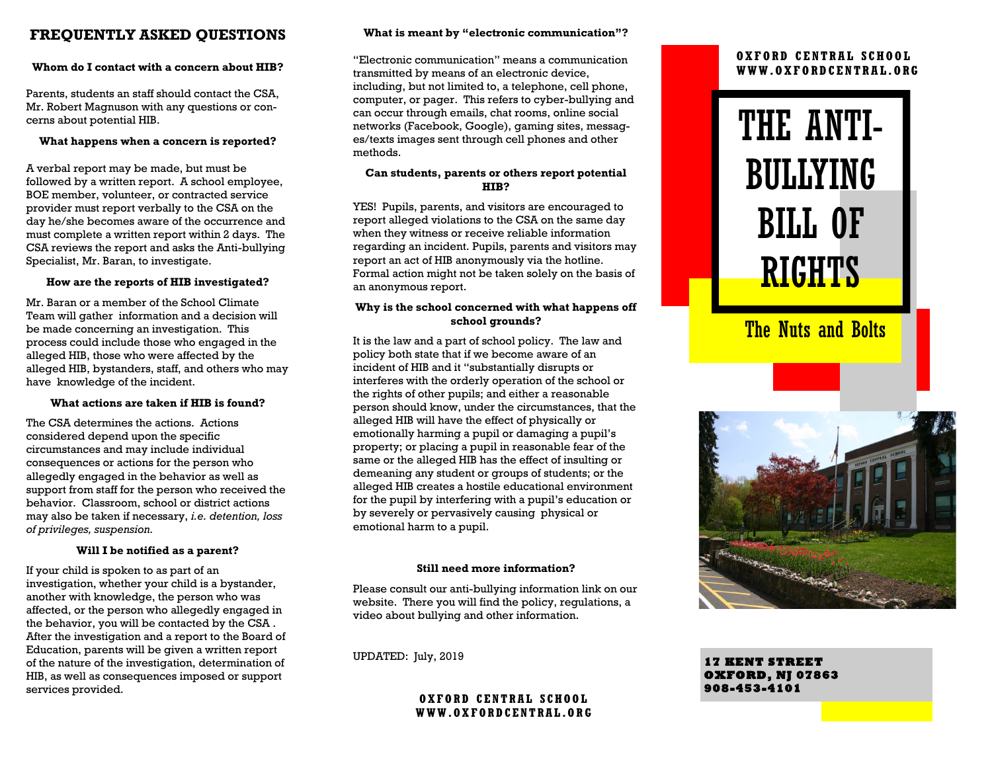#### **FREQUENTLY ASKED QUESTIONS**

#### **Whom do I contact with a concern about HIB?**

Parents, students an staff should contact the CSA, Mr. Robert Magnuson with any questions or concerns about potential HIB.

#### **What happens when a concern is reported?**

A verbal report may be made, but must be followed by a written report. A school employee, BOE member, volunteer, or contracted service provider must report verbally to the CSA on the day he/she becomes aware of the occurrence and must complete a written report within 2 days. The CSA reviews the report and asks the Anti-bullying Specialist, Mr. Baran, to investigate.

#### **How are the reports of HIB investigated?**

Mr. Baran or a member of the School Climate Team will gather information and a decision will be made concerning an investigation. This process could include those who engaged in the alleged HIB, those who were affected by the alleged HIB, bystanders, staff, and others who may have knowledge of the incident.

#### **What actions are taken if HIB is found?**

The CSA determines the actions. Actions considered depend upon the specific circumstances and may include individual consequences or actions for the person who allegedly engaged in the behavior as well as support from staff for the person who received the behavior. Classroom, school or district actions may also be taken if necessary, *i.e. detention, loss of privileges, suspension.*

#### **Will I be notified as a parent?**

If your child is spoken to as part of an investigation, whether your child is a bystander, another with knowledge, the person who was affected, or the person who allegedly engaged in the behavior, you will be contacted by the CSA . After the investigation and a report to the Board of Education, parents will be given a written report of the nature of the investigation, determination of HIB, as well as consequences imposed or support services provided.

#### **What is meant by "electronic communication"?**

"Electronic communication" means a communication transmitted by means of an electronic device, including, but not limited to, a telephone, cell phone, computer, or pager. This refers to cyber-bullying and can occur through emails, chat rooms, online social networks (Facebook, Google), gaming sites, messages/texts images sent through cell phones and other methods.

#### **Can students, parents or others report potential HIB?**

YES! Pupils, parents, and visitors are encouraged to report alleged violations to the CSA on the same day when they witness or receive reliable information regarding an incident. Pupils, parents and visitors may report an act of HIB anonymously via the hotline. Formal action might not be taken solely on the basis of an anonymous report.

#### **Why is the school concerned with what happens off school grounds?**

It is the law and a part of school policy. The law and policy both state that if we become aware of an incident of HIB and it "substantially disrupts or interferes with the orderly operation of the school or the rights of other pupils; and either a reasonable person should know, under the circumstances, that the alleged HIB will have the effect of physically or emotionally harming a pupil or damaging a pupil's property; or placing a pupil in reasonable fear of the same or the alleged HIB has the effect of insulting or demeaning any student or groups of students; or the alleged HIB creates a hostile educational environment for the pupil by interfering with a pupil's education or by severely or pervasively causing physical or emotional harm to a pupil.

#### **Still need more information?**

Please consult our anti-bullying information link on our website. There you will find the policy, regulations, a video about bullying and other information.

UPDATED: July, 2019

#### **OXFORD CENTRAL SCHOOL WWW.OXFORDCENTRAL.OR G**

#### **OXFORD CENTRAL SCHOOL WWW.OXFORDCENTRAL.ORG**

# THE ANTI-BULLYING BILL OF RIGHTS

### **The Nuts and Bolts**



**17 KENT STREET OXFORD, NJ 07863 908-453-4101**